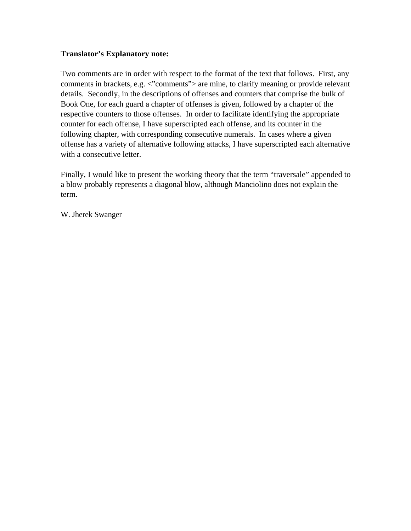# **Translator's Explanatory note:**

Two comments are in order with respect to the format of the text that follows. First, any comments in brackets, e.g. <"comments"> are mine, to clarify meaning or provide relevant details. Secondly, in the descriptions of offenses and counters that comprise the bulk of Book One, for each guard a chapter of offenses is given, followed by a chapter of the respective counters to those offenses. In order to facilitate identifying the appropriate counter for each offense, I have superscripted each offense, and its counter in the following chapter, with corresponding consecutive numerals. In cases where a given offense has a variety of alternative following attacks, I have superscripted each alternative with a consecutive letter.

Finally, I would like to present the working theory that the term "traversale" appended to a blow probably represents a diagonal blow, although Manciolino does not explain the term.

W. Jherek Swanger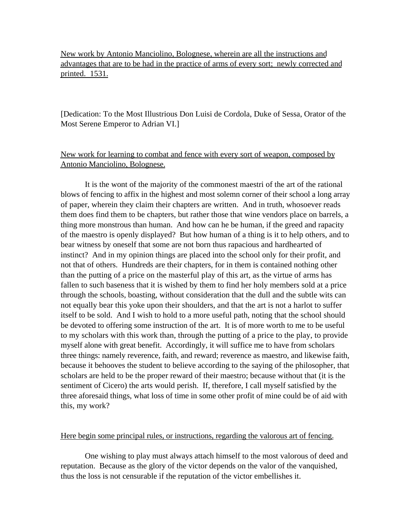New work by Antonio Manciolino, Bolognese, wherein are all the instructions and advantages that are to be had in the practice of arms of every sort; newly corrected and printed. 1531.

[Dedication: To the Most Illustrious Don Luisi de Cordola, Duke of Sessa, Orator of the Most Serene Emperor to Adrian VI.]

# New work for learning to combat and fence with every sort of weapon, composed by Antonio Manciolino, Bolognese.

It is the wont of the majority of the commonest maestri of the art of the rational blows of fencing to affix in the highest and most solemn corner of their school a long array of paper, wherein they claim their chapters are written. And in truth, whosoever reads them does find them to be chapters, but rather those that wine vendors place on barrels, a thing more monstrous than human. And how can he be human, if the greed and rapacity of the maestro is openly displayed? But how human of a thing is it to help others, and to bear witness by oneself that some are not born thus rapacious and hardhearted of instinct? And in my opinion things are placed into the school only for their profit, and not that of others. Hundreds are their chapters, for in them is contained nothing other than the putting of a price on the masterful play of this art, as the virtue of arms has fallen to such baseness that it is wished by them to find her holy members sold at a price through the schools, boasting, without consideration that the dull and the subtle wits can not equally bear this yoke upon their shoulders, and that the art is not a harlot to suffer itself to be sold. And I wish to hold to a more useful path, noting that the school should be devoted to offering some instruction of the art. It is of more worth to me to be useful to my scholars with this work than, through the putting of a price to the play, to provide myself alone with great benefit. Accordingly, it will suffice me to have from scholars three things: namely reverence, faith, and reward; reverence as maestro, and likewise faith, because it behooves the student to believe according to the saying of the philosopher, that scholars are held to be the proper reward of their maestro; because without that (it is the sentiment of Cicero) the arts would perish. If, therefore, I call myself satisfied by the three aforesaid things, what loss of time in some other profit of mine could be of aid with this, my work?

## Here begin some principal rules, or instructions, regarding the valorous art of fencing.

One wishing to play must always attach himself to the most valorous of deed and reputation. Because as the glory of the victor depends on the valor of the vanquished, thus the loss is not censurable if the reputation of the victor embellishes it.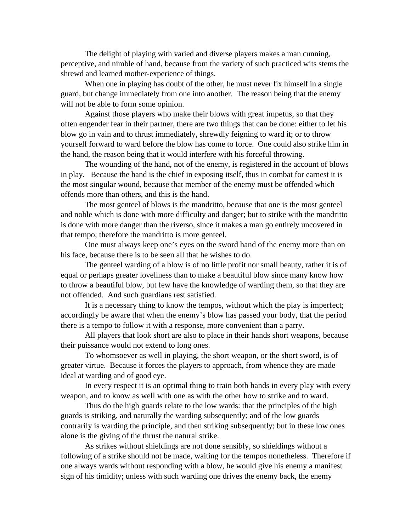The delight of playing with varied and diverse players makes a man cunning, perceptive, and nimble of hand, because from the variety of such practiced wits stems the shrewd and learned mother-experience of things.

When one in playing has doubt of the other, he must never fix himself in a single guard, but change immediately from one into another. The reason being that the enemy will not be able to form some opinion.

Against those players who make their blows with great impetus, so that they often engender fear in their partner, there are two things that can be done: either to let his blow go in vain and to thrust immediately, shrewdly feigning to ward it; or to throw yourself forward to ward before the blow has come to force. One could also strike him in the hand, the reason being that it would interfere with his forceful throwing.

The wounding of the hand, not of the enemy, is registered in the account of blows in play. Because the hand is the chief in exposing itself, thus in combat for earnest it is the most singular wound, because that member of the enemy must be offended which offends more than others, and this is the hand.

The most genteel of blows is the mandritto, because that one is the most genteel and noble which is done with more difficulty and danger; but to strike with the mandritto is done with more danger than the riverso, since it makes a man go entirely uncovered in that tempo; therefore the mandritto is more genteel.

One must always keep one's eyes on the sword hand of the enemy more than on his face, because there is to be seen all that he wishes to do.

The genteel warding of a blow is of no little profit nor small beauty, rather it is of equal or perhaps greater loveliness than to make a beautiful blow since many know how to throw a beautiful blow, but few have the knowledge of warding them, so that they are not offended. And such guardians rest satisfied.

It is a necessary thing to know the tempos, without which the play is imperfect; accordingly be aware that when the enemy's blow has passed your body, that the period there is a tempo to follow it with a response, more convenient than a parry.

All players that look short are also to place in their hands short weapons, because their puissance would not extend to long ones.

To whomsoever as well in playing, the short weapon, or the short sword, is of greater virtue. Because it forces the players to approach, from whence they are made ideal at warding and of good eye.

In every respect it is an optimal thing to train both hands in every play with every weapon, and to know as well with one as with the other how to strike and to ward.

Thus do the high guards relate to the low wards: that the principles of the high guards is striking, and naturally the warding subsequently; and of the low guards contrarily is warding the principle, and then striking subsequently; but in these low ones alone is the giving of the thrust the natural strike.

As strikes without shieldings are not done sensibly, so shieldings without a following of a strike should not be made, waiting for the tempos nonetheless. Therefore if one always wards without responding with a blow, he would give his enemy a manifest sign of his timidity; unless with such warding one drives the enemy back, the enemy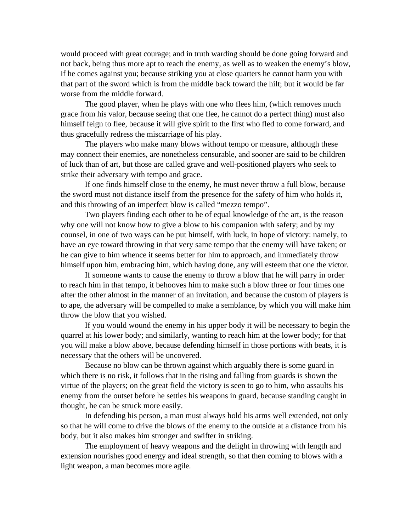would proceed with great courage; and in truth warding should be done going forward and not back, being thus more apt to reach the enemy, as well as to weaken the enemy's blow, if he comes against you; because striking you at close quarters he cannot harm you with that part of the sword which is from the middle back toward the hilt; but it would be far worse from the middle forward.

The good player, when he plays with one who flees him, (which removes much grace from his valor, because seeing that one flee, he cannot do a perfect thing) must also himself feign to flee, because it will give spirit to the first who fled to come forward, and thus gracefully redress the miscarriage of his play.

The players who make many blows without tempo or measure, although these may connect their enemies, are nonetheless censurable, and sooner are said to be children of luck than of art, but those are called grave and well-positioned players who seek to strike their adversary with tempo and grace.

If one finds himself close to the enemy, he must never throw a full blow, because the sword must not distance itself from the presence for the safety of him who holds it, and this throwing of an imperfect blow is called "mezzo tempo".

Two players finding each other to be of equal knowledge of the art, is the reason why one will not know how to give a blow to his companion with safety; and by my counsel, in one of two ways can he put himself, with luck, in hope of victory: namely, to have an eye toward throwing in that very same tempo that the enemy will have taken; or he can give to him whence it seems better for him to approach, and immediately throw himself upon him, embracing him, which having done, any will esteem that one the victor.

If someone wants to cause the enemy to throw a blow that he will parry in order to reach him in that tempo, it behooves him to make such a blow three or four times one after the other almost in the manner of an invitation, and because the custom of players is to ape, the adversary will be compelled to make a semblance, by which you will make him throw the blow that you wished.

If you would wound the enemy in his upper body it will be necessary to begin the quarrel at his lower body; and similarly, wanting to reach him at the lower body; for that you will make a blow above, because defending himself in those portions with beats, it is necessary that the others will be uncovered.

Because no blow can be thrown against which arguably there is some guard in which there is no risk, it follows that in the rising and falling from guards is shown the virtue of the players; on the great field the victory is seen to go to him, who assaults his enemy from the outset before he settles his weapons in guard, because standing caught in thought, he can be struck more easily.

In defending his person, a man must always hold his arms well extended, not only so that he will come to drive the blows of the enemy to the outside at a distance from his body, but it also makes him stronger and swifter in striking.

The employment of heavy weapons and the delight in throwing with length and extension nourishes good energy and ideal strength, so that then coming to blows with a light weapon, a man becomes more agile.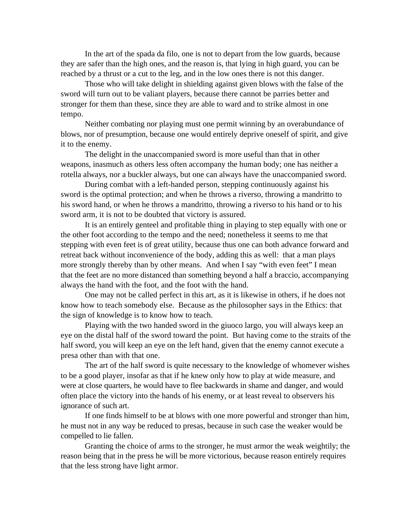In the art of the spada da filo, one is not to depart from the low guards, because they are safer than the high ones, and the reason is, that lying in high guard, you can be reached by a thrust or a cut to the leg, and in the low ones there is not this danger.

Those who will take delight in shielding against given blows with the false of the sword will turn out to be valiant players, because there cannot be parries better and stronger for them than these, since they are able to ward and to strike almost in one tempo.

Neither combating nor playing must one permit winning by an overabundance of blows, nor of presumption, because one would entirely deprive oneself of spirit, and give it to the enemy.

The delight in the unaccompanied sword is more useful than that in other weapons, inasmuch as others less often accompany the human body; one has neither a rotella always, nor a buckler always, but one can always have the unaccompanied sword.

During combat with a left-handed person, stepping continuously against his sword is the optimal protection; and when he throws a riverso, throwing a mandritto to his sword hand, or when he throws a mandritto, throwing a riverso to his hand or to his sword arm, it is not to be doubted that victory is assured.

It is an entirely genteel and profitable thing in playing to step equally with one or the other foot according to the tempo and the need; nonetheless it seems to me that stepping with even feet is of great utility, because thus one can both advance forward and retreat back without inconvenience of the body, adding this as well: that a man plays more strongly thereby than by other means. And when I say "with even feet" I mean that the feet are no more distanced than something beyond a half a braccio, accompanying always the hand with the foot, and the foot with the hand.

One may not be called perfect in this art, as it is likewise in others, if he does not know how to teach somebody else. Because as the philosopher says in the Ethics: that the sign of knowledge is to know how to teach.

Playing with the two handed sword in the giuoco largo, you will always keep an eye on the distal half of the sword toward the point. But having come to the straits of the half sword, you will keep an eye on the left hand, given that the enemy cannot execute a presa other than with that one.

The art of the half sword is quite necessary to the knowledge of whomever wishes to be a good player, insofar as that if he knew only how to play at wide measure, and were at close quarters, he would have to flee backwards in shame and danger, and would often place the victory into the hands of his enemy, or at least reveal to observers his ignorance of such art.

If one finds himself to be at blows with one more powerful and stronger than him, he must not in any way be reduced to presas, because in such case the weaker would be compelled to lie fallen.

Granting the choice of arms to the stronger, he must armor the weak weightily; the reason being that in the press he will be more victorious, because reason entirely requires that the less strong have light armor.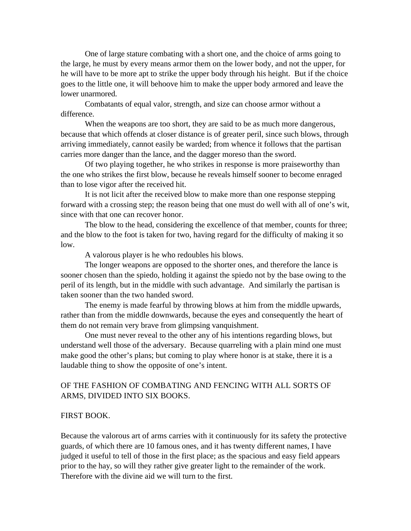One of large stature combating with a short one, and the choice of arms going to the large, he must by every means armor them on the lower body, and not the upper, for he will have to be more apt to strike the upper body through his height. But if the choice goes to the little one, it will behoove him to make the upper body armored and leave the lower unarmored.

Combatants of equal valor, strength, and size can choose armor without a difference.

When the weapons are too short, they are said to be as much more dangerous, because that which offends at closer distance is of greater peril, since such blows, through arriving immediately, cannot easily be warded; from whence it follows that the partisan carries more danger than the lance, and the dagger moreso than the sword.

Of two playing together, he who strikes in response is more praiseworthy than the one who strikes the first blow, because he reveals himself sooner to become enraged than to lose vigor after the received hit.

It is not licit after the received blow to make more than one response stepping forward with a crossing step; the reason being that one must do well with all of one's wit, since with that one can recover honor.

The blow to the head, considering the excellence of that member, counts for three; and the blow to the foot is taken for two, having regard for the difficulty of making it so low.

A valorous player is he who redoubles his blows.

The longer weapons are opposed to the shorter ones, and therefore the lance is sooner chosen than the spiedo, holding it against the spiedo not by the base owing to the peril of its length, but in the middle with such advantage. And similarly the partisan is taken sooner than the two handed sword.

The enemy is made fearful by throwing blows at him from the middle upwards, rather than from the middle downwards, because the eyes and consequently the heart of them do not remain very brave from glimpsing vanquishment.

One must never reveal to the other any of his intentions regarding blows, but understand well those of the adversary. Because quarreling with a plain mind one must make good the other's plans; but coming to play where honor is at stake, there it is a laudable thing to show the opposite of one's intent.

# OF THE FASHION OF COMBATING AND FENCING WITH ALL SORTS OF ARMS, DIVIDED INTO SIX BOOKS.

## FIRST BOOK.

Because the valorous art of arms carries with it continuously for its safety the protective guards, of which there are 10 famous ones, and it has twenty different names, I have judged it useful to tell of those in the first place; as the spacious and easy field appears prior to the hay, so will they rather give greater light to the remainder of the work. Therefore with the divine aid we will turn to the first.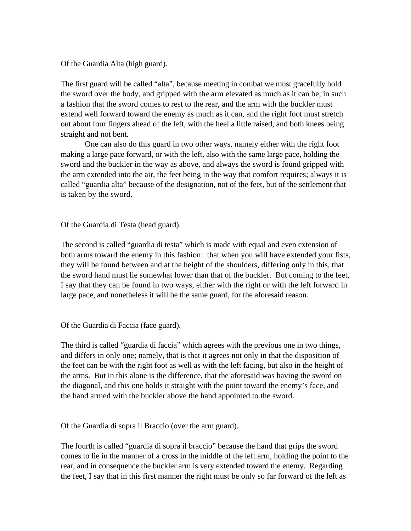Of the Guardia Alta (high guard).

The first guard will be called "alta", because meeting in combat we must gracefully hold the sword over the body, and gripped with the arm elevated as much as it can be, in such a fashion that the sword comes to rest to the rear, and the arm with the buckler must extend well forward toward the enemy as much as it can, and the right foot must stretch out about four fingers ahead of the left, with the heel a little raised, and both knees being straight and not bent.

One can also do this guard in two other ways, namely either with the right foot making a large pace forward, or with the left, also with the same large pace, holding the sword and the buckler in the way as above, and always the sword is found gripped with the arm extended into the air, the feet being in the way that comfort requires; always it is called "guardia alta" because of the designation, not of the feet, but of the settlement that is taken by the sword.

Of the Guardia di Testa (head guard).

The second is called "guardia di testa" which is made with equal and even extension of both arms toward the enemy in this fashion: that when you will have extended your fists, they will be found between and at the height of the shoulders, differing only in this, that the sword hand must lie somewhat lower than that of the buckler. But coming to the feet, I say that they can be found in two ways, either with the right or with the left forward in large pace, and nonetheless it will be the same guard, for the aforesaid reason.

Of the Guardia di Faccia (face guard).

The third is called "guardia di faccia" which agrees with the previous one in two things, and differs in only one; namely, that is that it agrees not only in that the disposition of the feet can be with the right foot as well as with the left facing, but also in the height of the arms. But in this alone is the difference, that the aforesaid was having the sword on the diagonal, and this one holds it straight with the point toward the enemy's face, and the hand armed with the buckler above the hand appointed to the sword.

Of the Guardia di sopra il Braccio (over the arm guard).

The fourth is called "guardia di sopra il braccio" because the hand that grips the sword comes to lie in the manner of a cross in the middle of the left arm, holding the point to the rear, and in consequence the buckler arm is very extended toward the enemy. Regarding the feet, I say that in this first manner the right must be only so far forward of the left as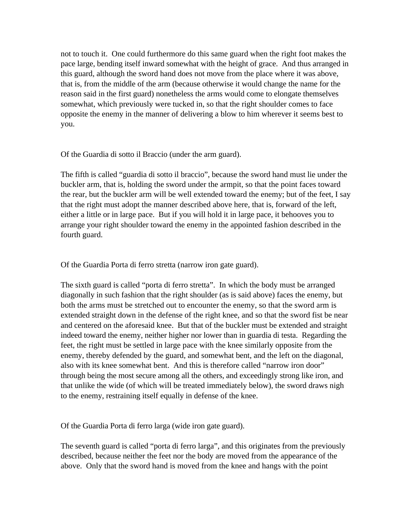not to touch it. One could furthermore do this same guard when the right foot makes the pace large, bending itself inward somewhat with the height of grace. And thus arranged in this guard, although the sword hand does not move from the place where it was above, that is, from the middle of the arm (because otherwise it would change the name for the reason said in the first guard) nonetheless the arms would come to elongate themselves somewhat, which previously were tucked in, so that the right shoulder comes to face opposite the enemy in the manner of delivering a blow to him wherever it seems best to you.

Of the Guardia di sotto il Braccio (under the arm guard).

The fifth is called "guardia di sotto il braccio", because the sword hand must lie under the buckler arm, that is, holding the sword under the armpit, so that the point faces toward the rear, but the buckler arm will be well extended toward the enemy; but of the feet, I say that the right must adopt the manner described above here, that is, forward of the left, either a little or in large pace. But if you will hold it in large pace, it behooves you to arrange your right shoulder toward the enemy in the appointed fashion described in the fourth guard.

Of the Guardia Porta di ferro stretta (narrow iron gate guard).

The sixth guard is called "porta di ferro stretta". In which the body must be arranged diagonally in such fashion that the right shoulder (as is said above) faces the enemy, but both the arms must be stretched out to encounter the enemy, so that the sword arm is extended straight down in the defense of the right knee, and so that the sword fist be near and centered on the aforesaid knee. But that of the buckler must be extended and straight indeed toward the enemy, neither higher nor lower than in guardia di testa. Regarding the feet, the right must be settled in large pace with the knee similarly opposite from the enemy, thereby defended by the guard, and somewhat bent, and the left on the diagonal, also with its knee somewhat bent. And this is therefore called "narrow iron door" through being the most secure among all the others, and exceedingly strong like iron, and that unlike the wide (of which will be treated immediately below), the sword draws nigh to the enemy, restraining itself equally in defense of the knee.

Of the Guardia Porta di ferro larga (wide iron gate guard).

The seventh guard is called "porta di ferro larga", and this originates from the previously described, because neither the feet nor the body are moved from the appearance of the above. Only that the sword hand is moved from the knee and hangs with the point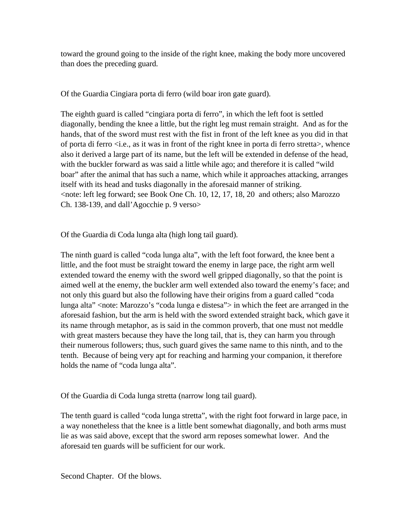toward the ground going to the inside of the right knee, making the body more uncovered than does the preceding guard.

Of the Guardia Cingiara porta di ferro (wild boar iron gate guard).

The eighth guard is called "cingiara porta di ferro", in which the left foot is settled diagonally, bending the knee a little, but the right leg must remain straight. And as for the hands, that of the sword must rest with the fist in front of the left knee as you did in that of porta di ferro  $\langle i.e.,$  as it was in front of the right knee in porta di ferro stretta $\langle$ , whence also it derived a large part of its name, but the left will be extended in defense of the head, with the buckler forward as was said a little while ago; and therefore it is called "wild boar" after the animal that has such a name, which while it approaches attacking, arranges itself with its head and tusks diagonally in the aforesaid manner of striking.  $\le$ note: left leg forward; see Book One Ch. 10, 12, 17, 18, 20 and others; also Marozzo Ch. 138-139, and dall'Agocchie p. 9 verso>

Of the Guardia di Coda lunga alta (high long tail guard).

The ninth guard is called "coda lunga alta", with the left foot forward, the knee bent a little, and the foot must be straight toward the enemy in large pace, the right arm well extended toward the enemy with the sword well gripped diagonally, so that the point is aimed well at the enemy, the buckler arm well extended also toward the enemy's face; and not only this guard but also the following have their origins from a guard called "coda lunga alta" <note: Marozzo's "coda lunga e distesa"> in which the feet are arranged in the aforesaid fashion, but the arm is held with the sword extended straight back, which gave it its name through metaphor, as is said in the common proverb, that one must not meddle with great masters because they have the long tail, that is, they can harm you through their numerous followers; thus, such guard gives the same name to this ninth, and to the tenth. Because of being very apt for reaching and harming your companion, it therefore holds the name of "coda lunga alta".

Of the Guardia di Coda lunga stretta (narrow long tail guard).

The tenth guard is called "coda lunga stretta", with the right foot forward in large pace, in a way nonetheless that the knee is a little bent somewhat diagonally, and both arms must lie as was said above, except that the sword arm reposes somewhat lower. And the aforesaid ten guards will be sufficient for our work.

Second Chapter. Of the blows.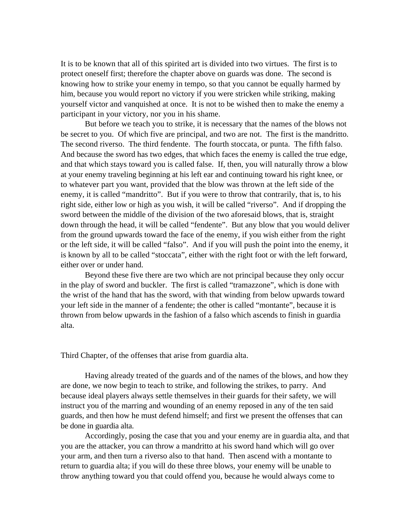It is to be known that all of this spirited art is divided into two virtues. The first is to protect oneself first; therefore the chapter above on guards was done. The second is knowing how to strike your enemy in tempo, so that you cannot be equally harmed by him, because you would report no victory if you were stricken while striking, making yourself victor and vanquished at once. It is not to be wished then to make the enemy a participant in your victory, nor you in his shame.

But before we teach you to strike, it is necessary that the names of the blows not be secret to you. Of which five are principal, and two are not. The first is the mandritto. The second riverso. The third fendente. The fourth stoccata, or punta. The fifth falso. And because the sword has two edges, that which faces the enemy is called the true edge, and that which stays toward you is called false. If, then, you will naturally throw a blow at your enemy traveling beginning at his left ear and continuing toward his right knee, or to whatever part you want, provided that the blow was thrown at the left side of the enemy, it is called "mandritto". But if you were to throw that contrarily, that is, to his right side, either low or high as you wish, it will be called "riverso". And if dropping the sword between the middle of the division of the two aforesaid blows, that is, straight down through the head, it will be called "fendente". But any blow that you would deliver from the ground upwards toward the face of the enemy, if you wish either from the right or the left side, it will be called "falso". And if you will push the point into the enemy, it is known by all to be called "stoccata", either with the right foot or with the left forward, either over or under hand.

Beyond these five there are two which are not principal because they only occur in the play of sword and buckler. The first is called "tramazzone", which is done with the wrist of the hand that has the sword, with that winding from below upwards toward your left side in the manner of a fendente; the other is called "montante", because it is thrown from below upwards in the fashion of a falso which ascends to finish in guardia alta.

Third Chapter, of the offenses that arise from guardia alta.

Having already treated of the guards and of the names of the blows, and how they are done, we now begin to teach to strike, and following the strikes, to parry. And because ideal players always settle themselves in their guards for their safety, we will instruct you of the marring and wounding of an enemy reposed in any of the ten said guards, and then how he must defend himself; and first we present the offenses that can be done in guardia alta.

Accordingly, posing the case that you and your enemy are in guardia alta, and that you are the attacker, you can throw a mandritto at his sword hand which will go over your arm, and then turn a riverso also to that hand. Then ascend with a montante to return to guardia alta; if you will do these three blows, your enemy will be unable to throw anything toward you that could offend you, because he would always come to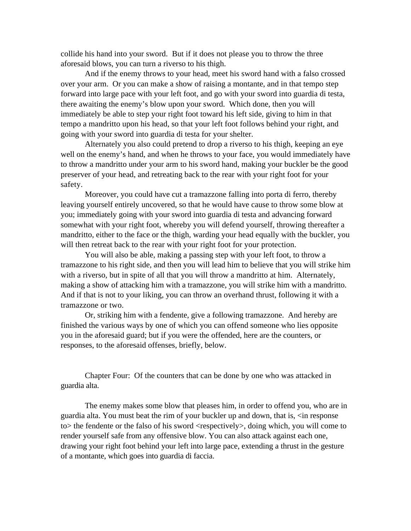collide his hand into your sword. But if it does not please you to throw the three aforesaid blows, you can turn a riverso to his thigh.

And if the enemy throws to your head, meet his sword hand with a falso crossed over your arm. Or you can make a show of raising a montante, and in that tempo step forward into large pace with your left foot, and go with your sword into guardia di testa, there awaiting the enemy's blow upon your sword. Which done, then you will immediately be able to step your right foot toward his left side, giving to him in that tempo a mandritto upon his head, so that your left foot follows behind your right, and going with your sword into guardia di testa for your shelter.

Alternately you also could pretend to drop a riverso to his thigh, keeping an eye well on the enemy's hand, and when he throws to your face, you would immediately have to throw a mandritto under your arm to his sword hand, making your buckler be the good preserver of your head, and retreating back to the rear with your right foot for your safety.

Moreover, you could have cut a tramazzone falling into porta di ferro, thereby leaving yourself entirely uncovered, so that he would have cause to throw some blow at you; immediately going with your sword into guardia di testa and advancing forward somewhat with your right foot, whereby you will defend yourself, throwing thereafter a mandritto, either to the face or the thigh, warding your head equally with the buckler, you will then retreat back to the rear with your right foot for your protection.

You will also be able, making a passing step with your left foot, to throw a tramazzone to his right side, and then you will lead him to believe that you will strike him with a riverso, but in spite of all that you will throw a mandritto at him. Alternately, making a show of attacking him with a tramazzone, you will strike him with a mandritto. And if that is not to your liking, you can throw an overhand thrust, following it with a tramazzone or two.

Or, striking him with a fendente, give a following tramazzone. And hereby are finished the various ways by one of which you can offend someone who lies opposite you in the aforesaid guard; but if you were the offended, here are the counters, or responses, to the aforesaid offenses, briefly, below.

Chapter Four: Of the counters that can be done by one who was attacked in guardia alta.

The enemy makes some blow that pleases him, in order to offend you, who are in guardia alta. You must beat the rim of your buckler up and down, that is, <in response to the fendente or the falso of his sword  $\langle$ respectively  $\rangle$ , doing which, you will come to render yourself safe from any offensive blow. You can also attack against each one, drawing your right foot behind your left into large pace, extending a thrust in the gesture of a montante, which goes into guardia di faccia.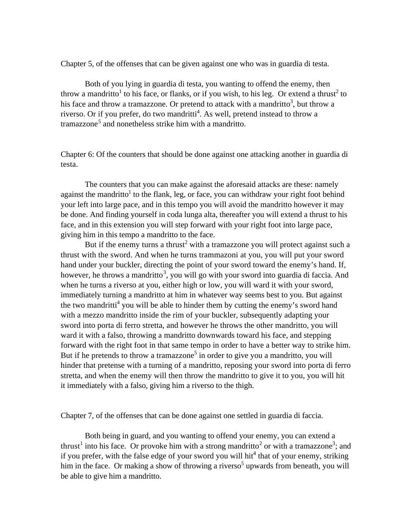Chapter 5, of the offenses that can be given against one who was in guardia di testa.

Both of you lying in guardia di testa, you wanting to offend the enemy, then throw a mandritto<sup>1</sup> to his face, or flanks, or if you wish, to his leg. Or extend a thrust<sup>2</sup> to his face and throw a tramazzone. Or pretend to attack with a mandritto<sup>3</sup>, but throw a riverso. Or if you prefer, do two mandritti<sup>4</sup>. As well, pretend instead to throw a tramazzone<sup>5</sup> and nonetheless strike him with a mandritto.

Chapter 6: Of the counters that should be done against one attacking another in guardia di testa.

The counters that you can make against the aforesaid attacks are these: namely against the mandritto<sup>1</sup> to the flank, leg, or face, you can withdraw your right foot behind your left into large pace, and in this tempo you will avoid the mandritto however it may be done. And finding yourself in coda lunga alta, thereafter you will extend a thrust to his face, and in this extension you will step forward with your right foot into large pace, giving him in this tempo a mandritto to the face.

But if the enemy turns a thrust<sup>2</sup> with a tramazzone you will protect against such a thrust with the sword. And when he turns trammazoni at you, you will put your sword hand under your buckler, directing the point of your sword toward the enemy's hand. If, however, he throws a mandritto<sup>3</sup>, you will go with your sword into guardia di faccia. And when he turns a riverso at you, either high or low, you will ward it with your sword, immediately turning a mandritto at him in whatever way seems best to you. But against the two mandritti<sup>4</sup> you will be able to hinder them by cutting the enemy's sword hand with a mezzo mandritto inside the rim of your buckler, subsequently adapting your sword into porta di ferro stretta, and however he throws the other mandritto, you will ward it with a falso, throwing a mandritto downwards toward his face, and stepping forward with the right foot in that same tempo in order to have a better way to strike him. But if he pretends to throw a tramazzone<sup>5</sup> in order to give you a mandritto, you will hinder that pretense with a turning of a mandritto, reposing your sword into porta di ferro stretta, and when the enemy will then throw the mandritto to give it to you, you will hit it immediately with a falso, giving him a riverso to the thigh.

Chapter 7, of the offenses that can be done against one settled in guardia di faccia.

Both being in guard, and you wanting to offend your enemy, you can extend a thrust<sup>1</sup> into his face. Or provoke him with a strong mandritto<sup>2</sup> or with a tramazzone<sup>3</sup>; and if you prefer, with the false edge of your sword you will hit<sup>4</sup> that of your enemy, striking him in the face. Or making a show of throwing a riverso<sup>5</sup> upwards from beneath, you will be able to give him a mandritto.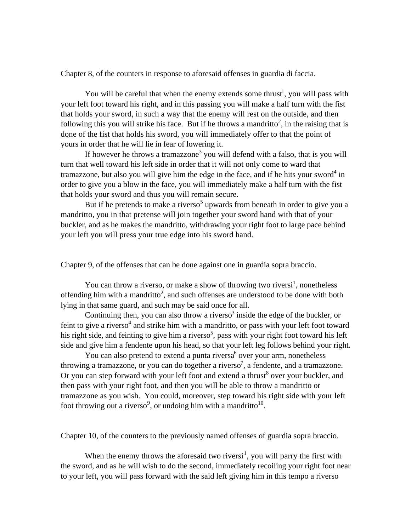Chapter 8, of the counters in response to aforesaid offenses in guardia di faccia.

You will be careful that when the enemy extends some thrust<sup>1</sup>, you will pass with your left foot toward his right, and in this passing you will make a half turn with the fist that holds your sword, in such a way that the enemy will rest on the outside, and then following this you will strike his face. But if he throws a mandritto<sup>2</sup>, in the raising that is done of the fist that holds his sword, you will immediately offer to that the point of yours in order that he will lie in fear of lowering it.

If however he throws a tramazzone<sup>3</sup> you will defend with a falso, that is you will turn that well toward his left side in order that it will not only come to ward that tramazzone, but also you will give him the edge in the face, and if he hits your sword<sup>4</sup> in order to give you a blow in the face, you will immediately make a half turn with the fist that holds your sword and thus you will remain secure.

But if he pretends to make a riverso<sup>5</sup> upwards from beneath in order to give you a mandritto, you in that pretense will join together your sword hand with that of your buckler, and as he makes the mandritto, withdrawing your right foot to large pace behind your left you will press your true edge into his sword hand.

Chapter 9, of the offenses that can be done against one in guardia sopra braccio.

You can throw a riverso, or make a show of throwing two riversi<sup>1</sup>, nonetheless offending him with a mandritto<sup>2</sup>, and such offenses are understood to be done with both lying in that same guard, and such may be said once for all.

Continuing then, you can also throw a riverso<sup>3</sup> inside the edge of the buckler, or feint to give a riverso<sup>4</sup> and strike him with a mandritto, or pass with your left foot toward his right side, and feinting to give him a riverso<sup>5</sup>, pass with your right foot toward his left side and give him a fendente upon his head, so that your left leg follows behind your right.

You can also pretend to extend a punta riversa<sup>6</sup> over your arm, nonetheless throwing a tramazzone, or you can do together a riverso<sup>7</sup>, a fendente, and a tramazzone. Or you can step forward with your left foot and extend a thrust<sup>8</sup> over your buckler, and then pass with your right foot, and then you will be able to throw a mandritto or tramazzone as you wish. You could, moreover, step toward his right side with your left foot throwing out a riverso<sup>9</sup>, or undoing him with a mandritto<sup>10</sup>.

Chapter 10, of the counters to the previously named offenses of guardia sopra braccio.

When the enemy throws the aforesaid two riversi<sup>1</sup>, you will parry the first with the sword, and as he will wish to do the second, immediately recoiling your right foot near to your left, you will pass forward with the said left giving him in this tempo a riverso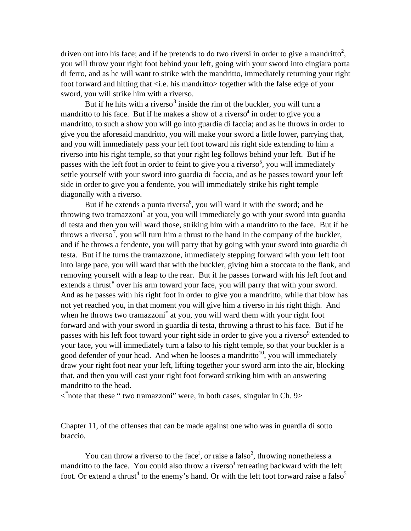driven out into his face; and if he pretends to do two riversi in order to give a mandritto<sup>2</sup>, you will throw your right foot behind your left, going with your sword into cingiara porta di ferro, and as he will want to strike with the mandritto, immediately returning your right foot forward and hitting that  $\langle$ i.e. his mandritto $>$  together with the false edge of your sword, you will strike him with a riverso.

But if he hits with a riverso<sup>3</sup> inside the rim of the buckler, you will turn a mandritto to his face. But if he makes a show of a riverso<sup>4</sup> in order to give you a mandritto, to such a show you will go into guardia di faccia; and as he throws in order to give you the aforesaid mandritto, you will make your sword a little lower, parrying that, and you will immediately pass your left foot toward his right side extending to him a riverso into his right temple, so that your right leg follows behind your left. But if he passes with the left foot in order to feint to give you a riverso<sup>5</sup>, you will immediately settle yourself with your sword into guardia di faccia, and as he passes toward your left side in order to give you a fendente, you will immediately strike his right temple diagonally with a riverso.

But if he extends a punta riversa<sup>6</sup>, you will ward it with the sword; and he throwing two tramazzoni<sup>\*</sup> at you, you will immediately go with your sword into guardia di testa and then you will ward those, striking him with a mandritto to the face. But if he throws a riverso<sup>7</sup>, you will turn him a thrust to the hand in the company of the buckler, and if he throws a fendente, you will parry that by going with your sword into guardia di testa. But if he turns the tramazzone, immediately stepping forward with your left foot into large pace, you will ward that with the buckler, giving him a stoccata to the flank, and removing yourself with a leap to the rear. But if he passes forward with his left foot and extends a thrust<sup>8</sup> over his arm toward your face, you will parry that with your sword. And as he passes with his right foot in order to give you a mandritto, while that blow has not yet reached you, in that moment you will give him a riverso in his right thigh. And when he throws two tramazzoni<sup>\*</sup> at you, you will ward them with your right foot forward and with your sword in guardia di testa, throwing a thrust to his face. But if he passes with his left foot toward your right side in order to give you a riverso<sup>9</sup> extended to your face, you will immediately turn a falso to his right temple, so that your buckler is a good defender of your head. And when he looses a mandritto<sup>10</sup>, you will immediately draw your right foot near your left, lifting together your sword arm into the air, blocking that, and then you will cast your right foot forward striking him with an answering mandritto to the head.

< \* note that these " two tramazzoni" were, in both cases, singular in Ch. 9>

Chapter 11, of the offenses that can be made against one who was in guardia di sotto braccio.

You can throw a riverso to the face<sup>1</sup>, or raise a falso<sup>2</sup>, throwing nonetheless a mandritto to the face. You could also throw a riverso<sup>3</sup> retreating backward with the left foot. Or extend a thrust<sup>4</sup> to the enemy's hand. Or with the left foot forward raise a falso<sup>5</sup>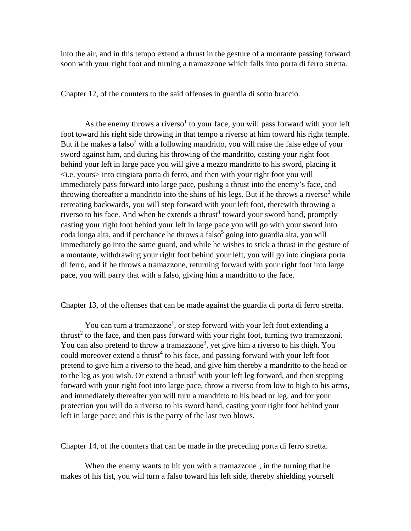into the air, and in this tempo extend a thrust in the gesture of a montante passing forward soon with your right foot and turning a tramazzone which falls into porta di ferro stretta.

Chapter 12, of the counters to the said offenses in guardia di sotto braccio.

As the enemy throws a riverso<sup>1</sup> to your face, you will pass forward with your left foot toward his right side throwing in that tempo a riverso at him toward his right temple. But if he makes a falso<sup>2</sup> with a following mandritto, you will raise the false edge of your sword against him, and during his throwing of the mandritto, casting your right foot behind your left in large pace you will give a mezzo mandritto to his sword, placing it  $\langle$ i.e. yours $>$  into cingiara porta di ferro, and then with your right foot you will immediately pass forward into large pace, pushing a thrust into the enemy's face, and throwing thereafter a mandritto into the shins of his legs. But if he throws a riverso<sup>3</sup> while retreating backwards, you will step forward with your left foot, therewith throwing a riverso to his face. And when he extends a thrust<sup>4</sup> toward your sword hand, promptly casting your right foot behind your left in large pace you will go with your sword into coda lunga alta, and if perchance he throws a falso<sup>5</sup> going into guardia alta, you will immediately go into the same guard, and while he wishes to stick a thrust in the gesture of a montante, withdrawing your right foot behind your left, you will go into cingiara porta di ferro, and if he throws a tramazzone, returning forward with your right foot into large pace, you will parry that with a falso, giving him a mandritto to the face.

## Chapter 13, of the offenses that can be made against the guardia di porta di ferro stretta.

You can turn a tramazzone<sup>1</sup>, or step forward with your left foot extending a thrust<sup>2</sup> to the face, and then pass forward with your right foot, turning two tramazzoni. You can also pretend to throw a tramazzone<sup>3</sup>, yet give him a riverso to his thigh. You could moreover extend a thrust<sup>4</sup> to his face, and passing forward with your left foot pretend to give him a riverso to the head, and give him thereby a mandritto to the head or to the leg as you wish. Or extend a thrust<sup>5</sup> with your left leg forward, and then stepping forward with your right foot into large pace, throw a riverso from low to high to his arms, and immediately thereafter you will turn a mandritto to his head or leg, and for your protection you will do a riverso to his sword hand, casting your right foot behind your left in large pace; and this is the parry of the last two blows.

Chapter 14, of the counters that can be made in the preceding porta di ferro stretta.

When the enemy wants to hit you with a tramazzone<sup>1</sup>, in the turning that he makes of his fist, you will turn a falso toward his left side, thereby shielding yourself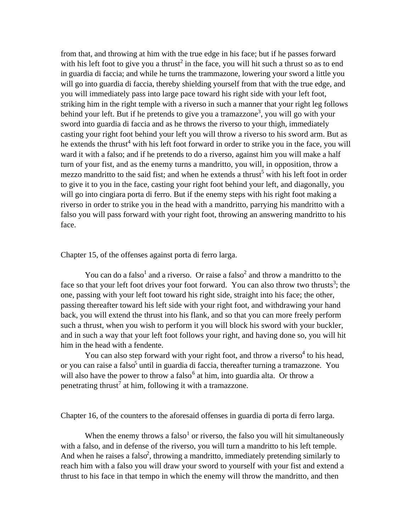from that, and throwing at him with the true edge in his face; but if he passes forward with his left foot to give you a thrust<sup>2</sup> in the face, you will hit such a thrust so as to end in guardia di faccia; and while he turns the trammazone, lowering your sword a little you will go into guardia di faccia, thereby shielding yourself from that with the true edge, and you will immediately pass into large pace toward his right side with your left foot, striking him in the right temple with a riverso in such a manner that your right leg follows behind your left. But if he pretends to give you a tramazzone<sup>3</sup>, you will go with your sword into guardia di faccia and as he throws the riverso to your thigh, immediately casting your right foot behind your left you will throw a riverso to his sword arm. But as he extends the thrust<sup>4</sup> with his left foot forward in order to strike you in the face, you will ward it with a falso; and if he pretends to do a riverso, against him you will make a half turn of your fist, and as the enemy turns a mandritto, you will, in opposition, throw a mezzo mandritto to the said fist; and when he extends a thrust<sup>5</sup> with his left foot in order to give it to you in the face, casting your right foot behind your left, and diagonally, you will go into cingiara porta di ferro. But if the enemy steps with his right foot making a riverso in order to strike you in the head with a mandritto, parrying his mandritto with a falso you will pass forward with your right foot, throwing an answering mandritto to his face.

Chapter 15, of the offenses against porta di ferro larga.

You can do a falso<sup>1</sup> and a riverso. Or raise a falso<sup>2</sup> and throw a mandritto to the face so that your left foot drives your foot forward. You can also throw two thrusts<sup>3</sup>; the one, passing with your left foot toward his right side, straight into his face; the other, passing thereafter toward his left side with your right foot, and withdrawing your hand back, you will extend the thrust into his flank, and so that you can more freely perform such a thrust, when you wish to perform it you will block his sword with your buckler, and in such a way that your left foot follows your right, and having done so, you will hit him in the head with a fendente.

You can also step forward with your right foot, and throw a riverso<sup>4</sup> to his head, or you can raise a falso<sup>5</sup> until in guardia di faccia, thereafter turning a tramazzone. You will also have the power to throw a falso<sup>6</sup> at him, into guardia alta. Or throw a penetrating thrust<sup>7</sup> at him, following it with a tramazzone.

Chapter 16, of the counters to the aforesaid offenses in guardia di porta di ferro larga.

When the enemy throws a falso<sup>1</sup> or riverso, the falso you will hit simultaneously with a falso, and in defense of the riverso, you will turn a mandritto to his left temple. And when he raises a falso<sup>2</sup>, throwing a mandritto, immediately pretending similarly to reach him with a falso you will draw your sword to yourself with your fist and extend a thrust to his face in that tempo in which the enemy will throw the mandritto, and then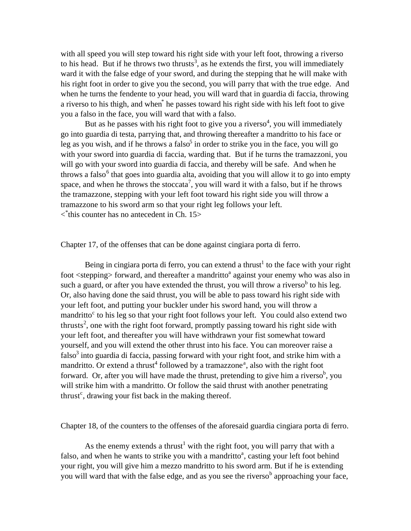with all speed you will step toward his right side with your left foot, throwing a riverso to his head. But if he throws two thrusts<sup>3</sup>, as he extends the first, you will immediately ward it with the false edge of your sword, and during the stepping that he will make with his right foot in order to give you the second, you will parry that with the true edge. And when he turns the fendente to your head, you will ward that in guardia di faccia, throwing a riverso to his thigh, and when<sup>\*</sup> he passes toward his right side with his left foot to give you a falso in the face, you will ward that with a falso.

But as he passes with his right foot to give you a riverso<sup>4</sup>, you will immediately go into guardia di testa, parrying that, and throwing thereafter a mandritto to his face or leg as you wish, and if he throws a falso<sup>5</sup> in order to strike you in the face, you will go with your sword into guardia di faccia, warding that. But if he turns the tramazzoni, you will go with your sword into guardia di faccia, and thereby will be safe. And when he throws a falso<sup>6</sup> that goes into guardia alta, avoiding that you will allow it to go into empty space, and when he throws the stoccata<sup>7</sup>, you will ward it with a falso, but if he throws the tramazzone, stepping with your left foot toward his right side you will throw a tramazzone to his sword arm so that your right leg follows your left. < \* this counter has no antecedent in Ch. 15>

Chapter 17, of the offenses that can be done against cingiara porta di ferro.

Being in cingiara porta di ferro, you can extend a thrust<sup>1</sup> to the face with your right foot <stepping> forward, and thereafter a mandritto<sup>a</sup> against your enemy who was also in such a guard, or after you have extended the thrust, you will throw a riverso<sup>b</sup> to his leg. Or, also having done the said thrust, you will be able to pass toward his right side with your left foot, and putting your buckler under his sword hand, you will throw a mandritto<sup>c</sup> to his leg so that your right foot follows your left. You could also extend two thrusts<sup>2</sup>, one with the right foot forward, promptly passing toward his right side with your left foot, and thereafter you will have withdrawn your fist somewhat toward yourself, and you will extend the other thrust into his face. You can moreover raise a falso<sup>3</sup> into guardia di faccia, passing forward with your right foot, and strike him with a mandritto. Or extend a thrust<sup>4</sup> followed by a tramazzone<sup>a</sup>, also with the right foot forward. Or, after you will have made the thrust, pretending to give him a riverso<sup>b</sup>, you will strike him with a mandritto. Or follow the said thrust with another penetrating thrust<sup>c</sup>, drawing your fist back in the making thereof.

Chapter 18, of the counters to the offenses of the aforesaid guardia cingiara porta di ferro.

As the enemy extends a thrust<sup>1</sup> with the right foot, you will parry that with a falso, and when he wants to strike you with a mandritto<sup>a</sup>, casting your left foot behind your right, you will give him a mezzo mandritto to his sword arm. But if he is extending you will ward that with the false edge, and as you see the riverso<sup>b</sup> approaching your face,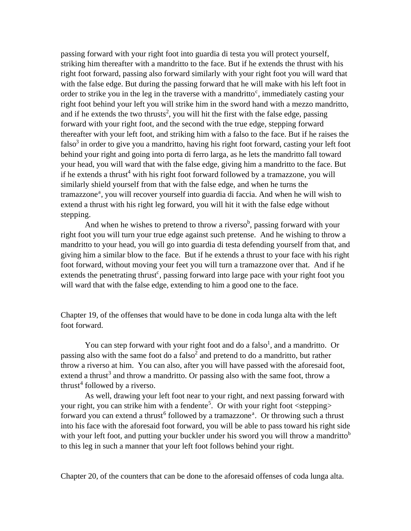passing forward with your right foot into guardia di testa you will protect yourself, striking him thereafter with a mandritto to the face. But if he extends the thrust with his right foot forward, passing also forward similarly with your right foot you will ward that with the false edge. But during the passing forward that he will make with his left foot in order to strike you in the leg in the traverse with a mandritto<sup>c</sup>, immediately casting your right foot behind your left you will strike him in the sword hand with a mezzo mandritto, and if he extends the two thrusts<sup>2</sup>, you will hit the first with the false edge, passing forward with your right foot, and the second with the true edge, stepping forward thereafter with your left foot, and striking him with a falso to the face. But if he raises the falso<sup>3</sup> in order to give you a mandritto, having his right foot forward, casting your left foot behind your right and going into porta di ferro larga, as he lets the mandritto fall toward your head, you will ward that with the false edge, giving him a mandritto to the face. But if he extends a thrust<sup>4</sup> with his right foot forward followed by a tramazzone, you will similarly shield yourself from that with the false edge, and when he turns the tramazzone<sup>a</sup>, you will recover yourself into guardia di faccia. And when he will wish to extend a thrust with his right leg forward, you will hit it with the false edge without stepping.

And when he wishes to pretend to throw a riverso<sup>b</sup>, passing forward with your right foot you will turn your true edge against such pretense. And he wishing to throw a mandritto to your head, you will go into guardia di testa defending yourself from that, and giving him a similar blow to the face. But if he extends a thrust to your face with his right foot forward, without moving your feet you will turn a tramazzone over that. And if he extends the penetrating thrust<sup>c</sup>, passing forward into large pace with your right foot you will ward that with the false edge, extending to him a good one to the face.

Chapter 19, of the offenses that would have to be done in coda lunga alta with the left foot forward.

You can step forward with your right foot and do a falso<sup>1</sup>, and a mandritto. Or passing also with the same foot do a falso<sup>2</sup> and pretend to do a mandritto, but rather throw a riverso at him. You can also, after you will have passed with the aforesaid foot, extend a thrust<sup>3</sup> and throw a mandritto. Or passing also with the same foot, throw a thrust<sup>4</sup> followed by a riverso.

As well, drawing your left foot near to your right, and next passing forward with your right, you can strike him with a fendente<sup>5</sup>. Or with your right foot <stepping> forward you can extend a thrust<sup>6</sup> followed by a tramazzone<sup>a</sup>. Or throwing such a thrust into his face with the aforesaid foot forward, you will be able to pass toward his right side with your left foot, and putting your buckler under his sword you will throw a mandritto<sup>b</sup> to this leg in such a manner that your left foot follows behind your right.

Chapter 20, of the counters that can be done to the aforesaid offenses of coda lunga alta.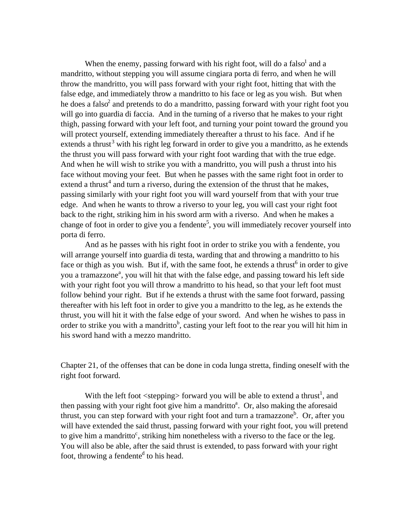When the enemy, passing forward with his right foot, will do a falso and a mandritto, without stepping you will assume cingiara porta di ferro, and when he will throw the mandritto, you will pass forward with your right foot, hitting that with the false edge, and immediately throw a mandritto to his face or leg as you wish. But when he does a falso<sup>2</sup> and pretends to do a mandritto, passing forward with your right foot you will go into guardia di faccia. And in the turning of a riverso that he makes to your right thigh, passing forward with your left foot, and turning your point toward the ground you will protect yourself, extending immediately thereafter a thrust to his face. And if he extends a thrust<sup>3</sup> with his right leg forward in order to give you a mandritto, as he extends the thrust you will pass forward with your right foot warding that with the true edge. And when he will wish to strike you with a mandritto, you will push a thrust into his face without moving your feet. But when he passes with the same right foot in order to extend a thrust<sup>4</sup> and turn a riverso, during the extension of the thrust that he makes, passing similarly with your right foot you will ward yourself from that with your true edge. And when he wants to throw a riverso to your leg, you will cast your right foot back to the right, striking him in his sword arm with a riverso. And when he makes a change of foot in order to give you a fendente<sup>5</sup>, you will immediately recover yourself into porta di ferro.

And as he passes with his right foot in order to strike you with a fendente, you will arrange yourself into guardia di testa, warding that and throwing a mandritto to his face or thigh as you wish. But if, with the same foot, he extends a thrust<sup>6</sup> in order to give you a tramazzone<sup>a</sup>, you will hit that with the false edge, and passing toward his left side with your right foot you will throw a mandritto to his head, so that your left foot must follow behind your right. But if he extends a thrust with the same foot forward, passing thereafter with his left foot in order to give you a mandritto to the leg, as he extends the thrust, you will hit it with the false edge of your sword. And when he wishes to pass in order to strike you with a mandritto<sup>b</sup>, casting your left foot to the rear you will hit him in his sword hand with a mezzo mandritto.

Chapter 21, of the offenses that can be done in coda lunga stretta, finding oneself with the right foot forward.

With the left foot  $\langle$  stepping> forward you will be able to extend a thrust<sup>1</sup>, and then passing with your right foot give him a mandritto<sup>a</sup>. Or, also making the aforesaid thrust, you can step forward with your right foot and turn a tramazzone<sup>b</sup>. Or, after you will have extended the said thrust, passing forward with your right foot, you will pretend to give him a mandritto<sup>c</sup>, striking him nonetheless with a riverso to the face or the leg. You will also be able, after the said thrust is extended, to pass forward with your right foot, throwing a fendente<sup>d</sup> to his head.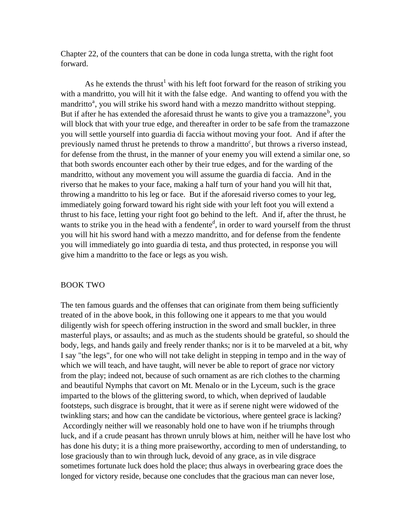Chapter 22, of the counters that can be done in coda lunga stretta, with the right foot forward.

As he extends the thrust<sup>1</sup> with his left foot forward for the reason of striking you with a mandritto, you will hit it with the false edge. And wanting to offend you with the mandritto<sup>a</sup>, you will strike his sword hand with a mezzo mandritto without stepping. But if after he has extended the aforesaid thrust he wants to give you a tramazzone<sup>b</sup>, you will block that with your true edge, and thereafter in order to be safe from the tramazzone you will settle yourself into guardia di faccia without moving your foot. And if after the previously named thrust he pretends to throw a mandritto<sup>c</sup>, but throws a riverso instead, for defense from the thrust, in the manner of your enemy you will extend a similar one, so that both swords encounter each other by their true edges, and for the warding of the mandritto, without any movement you will assume the guardia di faccia. And in the riverso that he makes to your face, making a half turn of your hand you will hit that, throwing a mandritto to his leg or face. But if the aforesaid riverso comes to your leg, immediately going forward toward his right side with your left foot you will extend a thrust to his face, letting your right foot go behind to the left. And if, after the thrust, he wants to strike you in the head with a fendente<sup>d</sup>, in order to ward yourself from the thrust you will hit his sword hand with a mezzo mandritto, and for defense from the fendente you will immediately go into guardia di testa, and thus protected, in response you will give him a mandritto to the face or legs as you wish.

#### BOOK TWO

The ten famous guards and the offenses that can originate from them being sufficiently treated of in the above book, in this following one it appears to me that you would diligently wish for speech offering instruction in the sword and small buckler, in three masterful plays, or assaults; and as much as the students should be grateful, so should the body, legs, and hands gaily and freely render thanks; nor is it to be marveled at a bit, why I say "the legs", for one who will not take delight in stepping in tempo and in the way of which we will teach, and have taught, will never be able to report of grace nor victory from the play; indeed not, because of such ornament as are rich clothes to the charming and beautiful Nymphs that cavort on Mt. Menalo or in the Lyceum, such is the grace imparted to the blows of the glittering sword, to which, when deprived of laudable footsteps, such disgrace is brought, that it were as if serene night were widowed of the twinkling stars; and how can the candidate be victorious, where genteel grace is lacking? Accordingly neither will we reasonably hold one to have won if he triumphs through luck, and if a crude peasant has thrown unruly blows at him, neither will he have lost who has done his duty; it is a thing more praiseworthy, according to men of understanding, to lose graciously than to win through luck, devoid of any grace, as in vile disgrace sometimes fortunate luck does hold the place; thus always in overbearing grace does the longed for victory reside, because one concludes that the gracious man can never lose,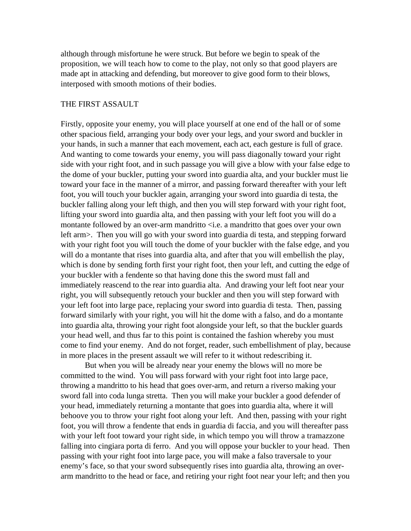although through misfortune he were struck. But before we begin to speak of the proposition, we will teach how to come to the play, not only so that good players are made apt in attacking and defending, but moreover to give good form to their blows, interposed with smooth motions of their bodies.

#### THE FIRST ASSAULT

Firstly, opposite your enemy, you will place yourself at one end of the hall or of some other spacious field, arranging your body over your legs, and your sword and buckler in your hands, in such a manner that each movement, each act, each gesture is full of grace. And wanting to come towards your enemy, you will pass diagonally toward your right side with your right foot, and in such passage you will give a blow with your false edge to the dome of your buckler, putting your sword into guardia alta, and your buckler must lie toward your face in the manner of a mirror, and passing forward thereafter with your left foot, you will touch your buckler again, arranging your sword into guardia di testa, the buckler falling along your left thigh, and then you will step forward with your right foot, lifting your sword into guardia alta, and then passing with your left foot you will do a montante followed by an over-arm mandritto <i.e. a mandritto that goes over your own left arm>. Then you will go with your sword into guardia di testa, and stepping forward with your right foot you will touch the dome of your buckler with the false edge, and you will do a montante that rises into guardia alta, and after that you will embellish the play, which is done by sending forth first your right foot, then your left, and cutting the edge of your buckler with a fendente so that having done this the sword must fall and immediately reascend to the rear into guardia alta. And drawing your left foot near your right, you will subsequently retouch your buckler and then you will step forward with your left foot into large pace, replacing your sword into guardia di testa. Then, passing forward similarly with your right, you will hit the dome with a falso, and do a montante into guardia alta, throwing your right foot alongside your left, so that the buckler guards your head well, and thus far to this point is contained the fashion whereby you must come to find your enemy. And do not forget, reader, such embellishment of play, because in more places in the present assault we will refer to it without redescribing it.

But when you will be already near your enemy the blows will no more be committed to the wind. You will pass forward with your right foot into large pace, throwing a mandritto to his head that goes over-arm, and return a riverso making your sword fall into coda lunga stretta. Then you will make your buckler a good defender of your head, immediately returning a montante that goes into guardia alta, where it will behoove you to throw your right foot along your left. And then, passing with your right foot, you will throw a fendente that ends in guardia di faccia, and you will thereafter pass with your left foot toward your right side, in which tempo you will throw a tramazzone falling into cingiara porta di ferro. And you will oppose your buckler to your head. Then passing with your right foot into large pace, you will make a falso traversale to your enemy's face, so that your sword subsequently rises into guardia alta, throwing an overarm mandritto to the head or face, and retiring your right foot near your left; and then you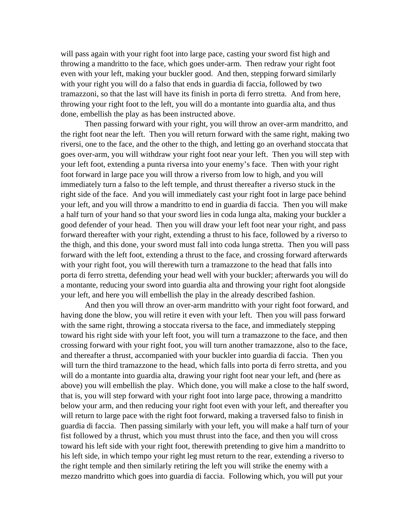will pass again with your right foot into large pace, casting your sword fist high and throwing a mandritto to the face, which goes under-arm. Then redraw your right foot even with your left, making your buckler good. And then, stepping forward similarly with your right you will do a falso that ends in guardia di faccia, followed by two tramazzoni, so that the last will have its finish in porta di ferro stretta. And from here, throwing your right foot to the left, you will do a montante into guardia alta, and thus done, embellish the play as has been instructed above.

Then passing forward with your right, you will throw an over-arm mandritto, and the right foot near the left. Then you will return forward with the same right, making two riversi, one to the face, and the other to the thigh, and letting go an overhand stoccata that goes over-arm, you will withdraw your right foot near your left. Then you will step with your left foot, extending a punta riversa into your enemy's face. Then with your right foot forward in large pace you will throw a riverso from low to high, and you will immediately turn a falso to the left temple, and thrust thereafter a riverso stuck in the right side of the face. And you will immediately cast your right foot in large pace behind your left, and you will throw a mandritto to end in guardia di faccia. Then you will make a half turn of your hand so that your sword lies in coda lunga alta, making your buckler a good defender of your head. Then you will draw your left foot near your right, and pass forward thereafter with your right, extending a thrust to his face, followed by a riverso to the thigh, and this done, your sword must fall into coda lunga stretta. Then you will pass forward with the left foot, extending a thrust to the face, and crossing forward afterwards with your right foot, you will therewith turn a tramazzone to the head that falls into porta di ferro stretta, defending your head well with your buckler; afterwards you will do a montante, reducing your sword into guardia alta and throwing your right foot alongside your left, and here you will embellish the play in the already described fashion.

And then you will throw an over-arm mandritto with your right foot forward, and having done the blow, you will retire it even with your left. Then you will pass forward with the same right, throwing a stoccata riversa to the face, and immediately stepping toward his right side with your left foot, you will turn a tramazzone to the face, and then crossing forward with your right foot, you will turn another tramazzone, also to the face, and thereafter a thrust, accompanied with your buckler into guardia di faccia. Then you will turn the third tramazzone to the head, which falls into porta di ferro stretta, and you will do a montante into guardia alta, drawing your right foot near your left, and (here as above) you will embellish the play. Which done, you will make a close to the half sword, that is, you will step forward with your right foot into large pace, throwing a mandritto below your arm, and then reducing your right foot even with your left, and thereafter you will return to large pace with the right foot forward, making a traversed falso to finish in guardia di faccia. Then passing similarly with your left, you will make a half turn of your fist followed by a thrust, which you must thrust into the face, and then you will cross toward his left side with your right foot, therewith pretending to give him a mandritto to his left side, in which tempo your right leg must return to the rear, extending a riverso to the right temple and then similarly retiring the left you will strike the enemy with a mezzo mandritto which goes into guardia di faccia. Following which, you will put your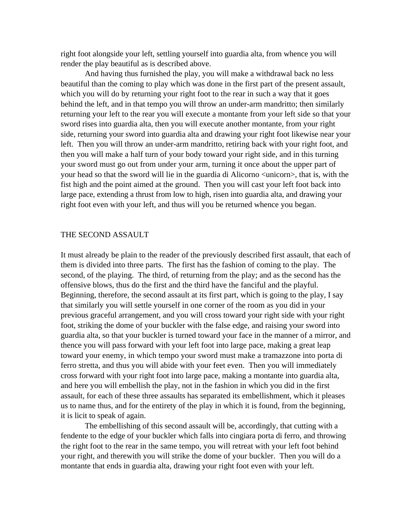right foot alongside your left, settling yourself into guardia alta, from whence you will render the play beautiful as is described above.

And having thus furnished the play, you will make a withdrawal back no less beautiful than the coming to play which was done in the first part of the present assault, which you will do by returning your right foot to the rear in such a way that it goes behind the left, and in that tempo you will throw an under-arm mandritto; then similarly returning your left to the rear you will execute a montante from your left side so that your sword rises into guardia alta, then you will execute another montante, from your right side, returning your sword into guardia alta and drawing your right foot likewise near your left. Then you will throw an under-arm mandritto, retiring back with your right foot, and then you will make a half turn of your body toward your right side, and in this turning your sword must go out from under your arm, turning it once about the upper part of your head so that the sword will lie in the guardia di Alicorno <unicorn>, that is, with the fist high and the point aimed at the ground. Then you will cast your left foot back into large pace, extending a thrust from low to high, risen into guardia alta, and drawing your right foot even with your left, and thus will you be returned whence you began.

#### THE SECOND ASSAULT

It must already be plain to the reader of the previously described first assault, that each of them is divided into three parts. The first has the fashion of coming to the play. The second, of the playing. The third, of returning from the play; and as the second has the offensive blows, thus do the first and the third have the fanciful and the playful. Beginning, therefore, the second assault at its first part, which is going to the play, I say that similarly you will settle yourself in one corner of the room as you did in your previous graceful arrangement, and you will cross toward your right side with your right foot, striking the dome of your buckler with the false edge, and raising your sword into guardia alta, so that your buckler is turned toward your face in the manner of a mirror, and thence you will pass forward with your left foot into large pace, making a great leap toward your enemy, in which tempo your sword must make a tramazzone into porta di ferro stretta, and thus you will abide with your feet even. Then you will immediately cross forward with your right foot into large pace, making a montante into guardia alta, and here you will embellish the play, not in the fashion in which you did in the first assault, for each of these three assaults has separated its embellishment, which it pleases us to name thus, and for the entirety of the play in which it is found, from the beginning, it is licit to speak of again.

The embellishing of this second assault will be, accordingly, that cutting with a fendente to the edge of your buckler which falls into cingiara porta di ferro, and throwing the right foot to the rear in the same tempo, you will retreat with your left foot behind your right, and therewith you will strike the dome of your buckler. Then you will do a montante that ends in guardia alta, drawing your right foot even with your left.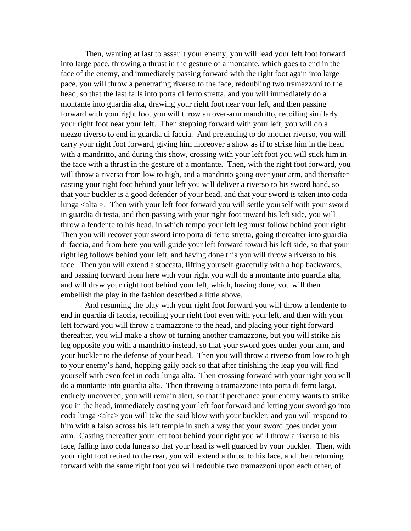Then, wanting at last to assault your enemy, you will lead your left foot forward into large pace, throwing a thrust in the gesture of a montante, which goes to end in the face of the enemy, and immediately passing forward with the right foot again into large pace, you will throw a penetrating riverso to the face, redoubling two tramazzoni to the head, so that the last falls into porta di ferro stretta, and you will immediately do a montante into guardia alta, drawing your right foot near your left, and then passing forward with your right foot you will throw an over-arm mandritto, recoiling similarly your right foot near your left. Then stepping forward with your left, you will do a mezzo riverso to end in guardia di faccia. And pretending to do another riverso, you will carry your right foot forward, giving him moreover a show as if to strike him in the head with a mandritto, and during this show, crossing with your left foot you will stick him in the face with a thrust in the gesture of a montante. Then, with the right foot forward, you will throw a riverso from low to high, and a mandritto going over your arm, and thereafter casting your right foot behind your left you will deliver a riverso to his sword hand, so that your buckler is a good defender of your head, and that your sword is taken into coda lunga <alta >. Then with your left foot forward you will settle yourself with your sword in guardia di testa, and then passing with your right foot toward his left side, you will throw a fendente to his head, in which tempo your left leg must follow behind your right. Then you will recover your sword into porta di ferro stretta, going thereafter into guardia di faccia, and from here you will guide your left forward toward his left side, so that your right leg follows behind your left, and having done this you will throw a riverso to his face. Then you will extend a stoccata, lifting yourself gracefully with a hop backwards, and passing forward from here with your right you will do a montante into guardia alta, and will draw your right foot behind your left, which, having done, you will then embellish the play in the fashion described a little above.

And resuming the play with your right foot forward you will throw a fendente to end in guardia di faccia, recoiling your right foot even with your left, and then with your left forward you will throw a tramazzone to the head, and placing your right forward thereafter, you will make a show of turning another tramazzone, but you will strike his leg opposite you with a mandritto instead, so that your sword goes under your arm, and your buckler to the defense of your head. Then you will throw a riverso from low to high to your enemy's hand, hopping gaily back so that after finishing the leap you will find yourself with even feet in coda lunga alta. Then crossing forward with your right you will do a montante into guardia alta. Then throwing a tramazzone into porta di ferro larga, entirely uncovered, you will remain alert, so that if perchance your enemy wants to strike you in the head, immediately casting your left foot forward and letting your sword go into coda lunga <alta> you will take the said blow with your buckler, and you will respond to him with a falso across his left temple in such a way that your sword goes under your arm. Casting thereafter your left foot behind your right you will throw a riverso to his face, falling into coda lunga so that your head is well guarded by your buckler. Then, with your right foot retired to the rear, you will extend a thrust to his face, and then returning forward with the same right foot you will redouble two tramazzoni upon each other, of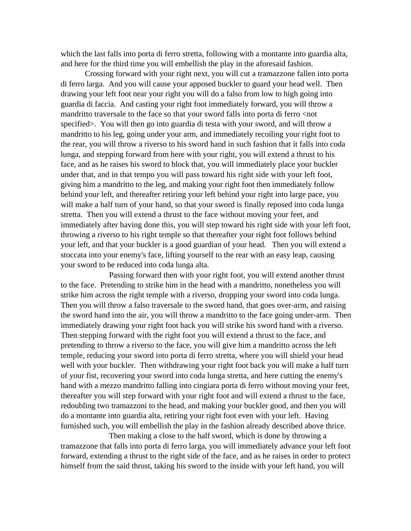which the last falls into porta di ferro stretta, following with a montante into guardia alta, and here for the third time you will embellish the play in the aforesaid fashion.

Crossing forward with your right next, you will cut a tramazzone fallen into porta di ferro larga. And you will cause your apposed buckler to guard your head well. Then drawing your left foot near your right you will do a falso from low to high going into guardia di faccia. And casting your right foot immediately forward, you will throw a mandritto traversale to the face so that your sword falls into porta di ferro <not specified>. You will then go into guardia di testa with your sword, and will throw a mandritto to his leg, going under your arm, and immediately recoiling your right foot to the rear, you will throw a riverso to his sword hand in such fashion that it falls into coda lunga, and stepping forward from here with your right, you will extend a thrust to his face, and as he raises his sword to block that, you will immediately place your buckler under that, and in that tempo you will pass toward his right side with your left foot, giving him a mandritto to the leg, and making your right foot then immediately follow behind your left, and thereafter retiring your left behind your right into large pace, you will make a half turn of your hand, so that your sword is finally reposed into coda lunga stretta. Then you will extend a thrust to the face without moving your feet, and immediately after having done this, you will step toward his right side with your left foot, throwing a riverso to his right temple so that thereafter your right foot follows behind your left, and that your buckler is a good guardian of your head. Then you will extend a stoccata into your enemy's face, lifting yourself to the rear with an easy leap, causing your sword to be reduced into coda lunga alta.

Passing forward then with your right foot, you will extend another thrust to the face. Pretending to strike him in the head with a mandritto, nonetheless you will strike him across the right temple with a riverso, dropping your sword into coda lunga. Then you will throw a falso traversale to the sword hand, that goes over-arm, and raising the sword hand into the air, you will throw a mandritto to the face going under-arm. Then immediately drawing your right foot back you will strike his sword hand with a riverso. Then stepping forward with the right foot you will extend a thrust to the face, and pretending to throw a riverso to the face, you will give him a mandritto across the left temple, reducing your sword into porta di ferro stretta, where you will shield your head well with your buckler. Then withdrawing your right foot back you will make a half turn of your fist, recovering your sword into coda lunga stretta, and here cutting the enemy's hand with a mezzo mandritto falling into cingiara porta di ferro without moving your feet, thereafter you will step forward with your right foot and will extend a thrust to the face, redoubling two tramazzoni to the head, and making your buckler good, and then you will do a montante into guardia alta, retiring your right foot even with your left. Having furnished such, you will embellish the play in the fashion already described above thrice.

Then making a close to the half sword, which is done by throwing a tramazzone that falls into porta di ferro larga, you will immediately advance your left foot forward, extending a thrust to the right side of the face, and as he raises in order to protect himself from the said thrust, taking his sword to the inside with your left hand, you will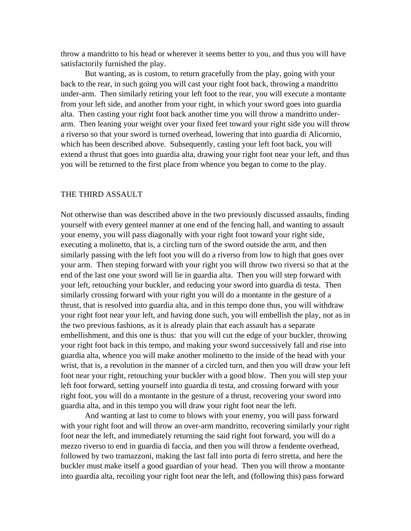throw a mandritto to his head or wherever it seems better to you, and thus you will have satisfactorily furnished the play.

But wanting, as is custom, to return gracefully from the play, going with your back to the rear, in such going you will cast your right foot back, throwing a mandritto under-arm. Then similarly retiring your left foot to the rear, you will execute a montante from your left side, and another from your right, in which your sword goes into guardia alta. Then casting your right foot back another time you will throw a mandritto underarm. Then leaning your weight over your fixed feet toward your right side you will throw a riverso so that your sword is turned overhead, lowering that into guardia di Alicornio, which has been described above. Subsequently, casting your left foot back, you will extend a thrust that goes into guardia alta, drawing your right foot near your left, and thus you will be returned to the first place from whence you began to come to the play.

#### THE THIRD ASSAULT

Not otherwise than was described above in the two previously discussed assaults, finding yourself with every genteel manner at one end of the fencing hall, and wanting to assault your enemy, you will pass diagonally with your right foot toward your right side, executing a molinetto, that is, a circling turn of the sword outside the arm, and then similarly passing with the left foot you will do a riverso from low to high that goes over your arm. Then steping forward with your right you will throw two riversi so that at the end of the last one your sword will lie in guardia alta. Then you will step forward with your left, retouching your buckler, and reducing your sword into guardia di testa. Then similarly crossing forward with your right you will do a montante in the gesture of a thrust, that is resolved into guardia alta, and in this tempo done thus, you will withdraw your right foot near your left, and having done such, you will embellish the play, not as in the two previous fashions, as it is already plain that each assault has a separate embellishment, and this one is thus: that you will cut the edge of your buckler, throwing your right foot back in this tempo, and making your sword successively fall and rise into guardia alta, whence you will make another molinetto to the inside of the head with your wrist, that is, a revolution in the manner of a circled turn, and then you will draw your left foot near your right, retouching your buckler with a good blow. Then you will step your left foot forward, setting yourself into guardia di testa, and crossing forward with your right foot, you will do a montante in the gesture of a thrust, recovering your sword into guardia alta, and in this tempo you will draw your right foot near the left.

And wanting at last to come to blows with your enemy, you will pass forward with your right foot and will throw an over-arm mandritto, recovering similarly your right foot near the left, and immediately returning the said right foot forward, you will do a mezzo riverso to end in guardia di faccia, and then you will throw a fendente overhead, followed by two tramazzoni, making the last fall into porta di ferro stretta, and here the buckler must make itself a good guardian of your head. Then you will throw a montante into guardia alta, recoiling your right foot near the left, and (following this) pass forward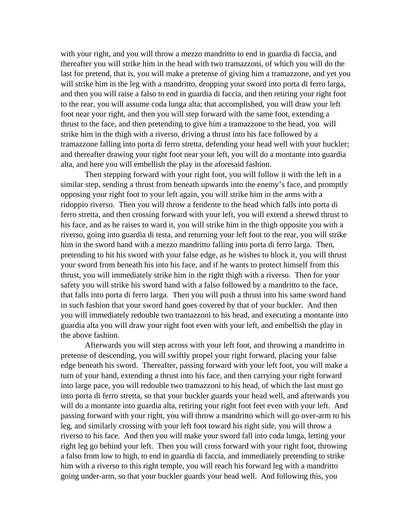with your right, and you will throw a mezzo mandritto to end in guardia di faccia, and thereafter you will strike him in the head with two tramazzoni, of which you will do the last for pretend, that is, you will make a pretense of giving him a tramazzone, and yet you will strike him in the leg with a mandritto, dropping your sword into porta di ferro larga, and then you will raise a falso to end in guardia di faccia, and then retiring your right foot to the rear, you will assume coda lunga alta; that accomplished, you will draw your left foot near your right, and then you will step forward with the same foot, extending a thrust to the face, and then pretending to give him a tramazzone to the head, you will strike him in the thigh with a riverso, driving a thrust into his face followed by a tramazzone falling into porta di ferro stretta, defending your head well with your buckler; and thereafter drawing your right foot near your left, you will do a montante into guardia alta, and here you will embellish the play in the aforesaid fashion.

Then stepping forward with your right foot, you will follow it with the left in a similar step, sending a thrust from beneath upwards into the enemy's face, and promptly opposing your right foot to your left again, you will strike him in the arms with a ridoppio riverso. Then you will throw a fendente to the head which falls into porta di ferro stretta, and then crossing forward with your left, you will extend a shrewd thrust to his face, and as he raises to ward it, you will strike him in the thigh opposite you with a riverso, going into guardia di testa, and returning your left foot to the rear, you will strike him in the sword hand with a mezzo mandritto falling into porta di ferro larga. Then, pretending to hit his sword with your false edge, as he wishes to block it, you will thrust your sword from beneath his into his face, and if he wants to protect himself from this thrust, you will immediately strike him in the right thigh with a riverso. Then for your safety you will strike his sword hand with a falso followed by a mandritto to the face, that falls into porta di ferro larga. Then you will push a thrust into his same sword hand in such fashion that your sword hand goes covered by that of your buckler. And then you will immediately redouble two tramazzoni to his head, and executing a montante into guardia alta you will draw your right foot even with your left, and embellish the play in the above fashion.

Afterwards you will step across with your left foot, and throwing a mandritto in pretense of descending, you will swiftly propel your right forward, placing your false edge beneath his sword. Thereafter, passing forward with your left foot, you will make a turn of your hand, extending a thrust into his face, and then carrying your right forward into large pace, you will redouble two tramazzoni to his head, of which the last must go into porta di ferro stretta, so that your buckler guards your head well, and afterwards you will do a montante into guardia alta, retiring your right foot feet even with your left. And passing forward with your right, you will throw a mandritto which will go over-arm to his leg, and similarly crossing with your left foot toward his right side, you will throw a riverso to his face. And then you will make your sword fall into coda lunga, letting your right leg go behind your left. Then you will cross forward with your right foot, throwing a falso from low to high, to end in guardia di faccia, and immediately pretending to strike him with a riverso to this right temple, you will reach his forward leg with a mandritto going under-arm, so that your buckler guards your head well. And following this, you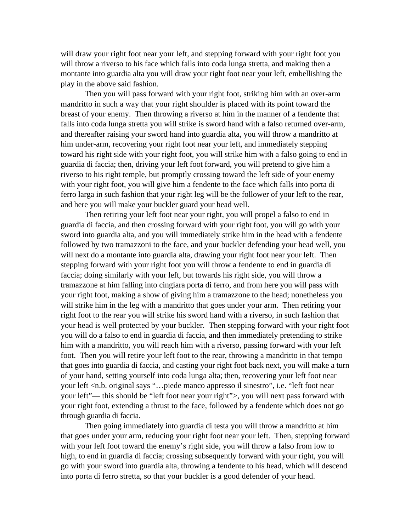will draw your right foot near your left, and stepping forward with your right foot you will throw a riverso to his face which falls into coda lunga stretta, and making then a montante into guardia alta you will draw your right foot near your left, embellishing the play in the above said fashion.

Then you will pass forward with your right foot, striking him with an over-arm mandritto in such a way that your right shoulder is placed with its point toward the breast of your enemy. Then throwing a riverso at him in the manner of a fendente that falls into coda lunga stretta you will strike is sword hand with a falso returned over-arm, and thereafter raising your sword hand into guardia alta, you will throw a mandritto at him under-arm, recovering your right foot near your left, and immediately stepping toward his right side with your right foot, you will strike him with a falso going to end in guardia di faccia; then, driving your left foot forward, you will pretend to give him a riverso to his right temple, but promptly crossing toward the left side of your enemy with your right foot, you will give him a fendente to the face which falls into porta di ferro larga in such fashion that your right leg will be the follower of your left to the rear, and here you will make your buckler guard your head well.

Then retiring your left foot near your right, you will propel a falso to end in guardia di faccia, and then crossing forward with your right foot, you will go with your sword into guardia alta, and you will immediately strike him in the head with a fendente followed by two tramazzoni to the face, and your buckler defending your head well, you will next do a montante into guardia alta, drawing your right foot near your left. Then stepping forward with your right foot you will throw a fendente to end in guardia di faccia; doing similarly with your left, but towards his right side, you will throw a tramazzone at him falling into cingiara porta di ferro, and from here you will pass with your right foot, making a show of giving him a tramazzone to the head; nonetheless you will strike him in the leg with a mandritto that goes under your arm. Then retiring your right foot to the rear you will strike his sword hand with a riverso, in such fashion that your head is well protected by your buckler. Then stepping forward with your right foot you will do a falso to end in guardia di faccia, and then immediately pretending to strike him with a mandritto, you will reach him with a riverso, passing forward with your left foot. Then you will retire your left foot to the rear, throwing a mandritto in that tempo that goes into guardia di faccia, and casting your right foot back next, you will make a turn of your hand, setting yourself into coda lunga alta; then, recovering your left foot near your left <n.b. original says "…piede manco appresso il sinestro", i.e. "left foot near your left"— this should be "left foot near your right">, you will next pass forward with your right foot, extending a thrust to the face, followed by a fendente which does not go through guardia di faccia.

Then going immediately into guardia di testa you will throw a mandritto at him that goes under your arm, reducing your right foot near your left. Then, stepping forward with your left foot toward the enemy's right side, you will throw a falso from low to high, to end in guardia di faccia; crossing subsequently forward with your right, you will go with your sword into guardia alta, throwing a fendente to his head, which will descend into porta di ferro stretta, so that your buckler is a good defender of your head.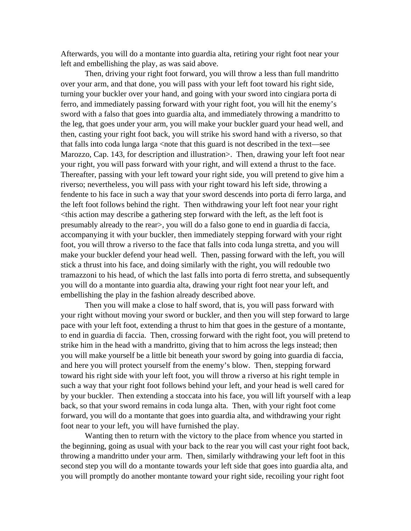Afterwards, you will do a montante into guardia alta, retiring your right foot near your left and embellishing the play, as was said above.

Then, driving your right foot forward, you will throw a less than full mandritto over your arm, and that done, you will pass with your left foot toward his right side, turning your buckler over your hand, and going with your sword into cingiara porta di ferro, and immediately passing forward with your right foot, you will hit the enemy's sword with a falso that goes into guardia alta, and immediately throwing a mandritto to the leg, that goes under your arm, you will make your buckler guard your head well, and then, casting your right foot back, you will strike his sword hand with a riverso, so that that falls into coda lunga larga <note that this guard is not described in the text—see Marozzo, Cap. 143, for description and illustration >. Then, drawing your left foot near your right, you will pass forward with your right, and will extend a thrust to the face. Thereafter, passing with your left toward your right side, you will pretend to give him a riverso; nevertheless, you will pass with your right toward his left side, throwing a fendente to his face in such a way that your sword descends into porta di ferro larga, and the left foot follows behind the right. Then withdrawing your left foot near your right  $\lt$ this action may describe a gathering step forward with the left, as the left foot is presumably already to the rear>, you will do a falso gone to end in guardia di faccia, accompanying it with your buckler, then immediately stepping forward with your right foot, you will throw a riverso to the face that falls into coda lunga stretta, and you will make your buckler defend your head well. Then, passing forward with the left, you will stick a thrust into his face, and doing similarly with the right, you will redouble two tramazzoni to his head, of which the last falls into porta di ferro stretta, and subsequently you will do a montante into guardia alta, drawing your right foot near your left, and embellishing the play in the fashion already described above.

Then you will make a close to half sword, that is, you will pass forward with your right without moving your sword or buckler, and then you will step forward to large pace with your left foot, extending a thrust to him that goes in the gesture of a montante, to end in guardia di faccia. Then, crossing forward with the right foot, you will pretend to strike him in the head with a mandritto, giving that to him across the legs instead; then you will make yourself be a little bit beneath your sword by going into guardia di faccia, and here you will protect yourself from the enemy's blow. Then, stepping forward toward his right side with your left foot, you will throw a riverso at his right temple in such a way that your right foot follows behind your left, and your head is well cared for by your buckler. Then extending a stoccata into his face, you will lift yourself with a leap back, so that your sword remains in coda lunga alta. Then, with your right foot come forward, you will do a montante that goes into guardia alta, and withdrawing your right foot near to your left, you will have furnished the play.

Wanting then to return with the victory to the place from whence you started in the beginning, going as usual with your back to the rear you will cast your right foot back, throwing a mandritto under your arm. Then, similarly withdrawing your left foot in this second step you will do a montante towards your left side that goes into guardia alta, and you will promptly do another montante toward your right side, recoiling your right foot